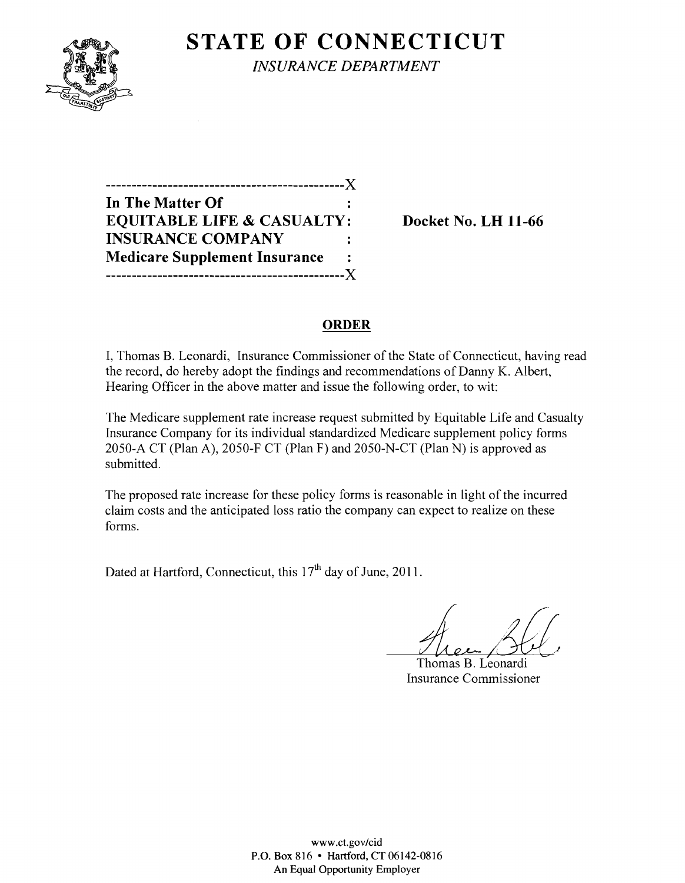

**STATE OF CONNECTICUT** *INSURANCE DEPARTMENT* 

**----------------------------------------------)( In The Matter Of EQUITABLE LIFE & CASUALTY: Docket No. LH 11-66 INSURANCE COMPANY Medicare Supplement Insurance**   $\ddot{\cdot}$ **----------------------------------------------)(** 

## **ORDER**

I, Thomas B. Leonardi, Insurance Commissioner of the State of Connecticut, having read the record, do hereby adopt the findings and recommendations of Danny K. Albert, Hearing Officer in the above matter and issue the following order, to wit:

The Medicare supplement rate increase request submitted by Equitable Life and Casualty Insurance Company for its individual standardized Medicare supplement policy forms 2050-A CT (Plan A), 2050-F CT (Plan F) and 2050-N-CT (Plan N) is approved as submitted.

The proposed rate increase for these policy forms is reasonable in light of the incurred claim costs and the anticipated loss ratio the company can expect to realize on these forms.

Dated at Hartford, Connecticut, this  $17<sup>th</sup>$  day of June, 2011.

Thomas B. L~onardi Insurance Commissioner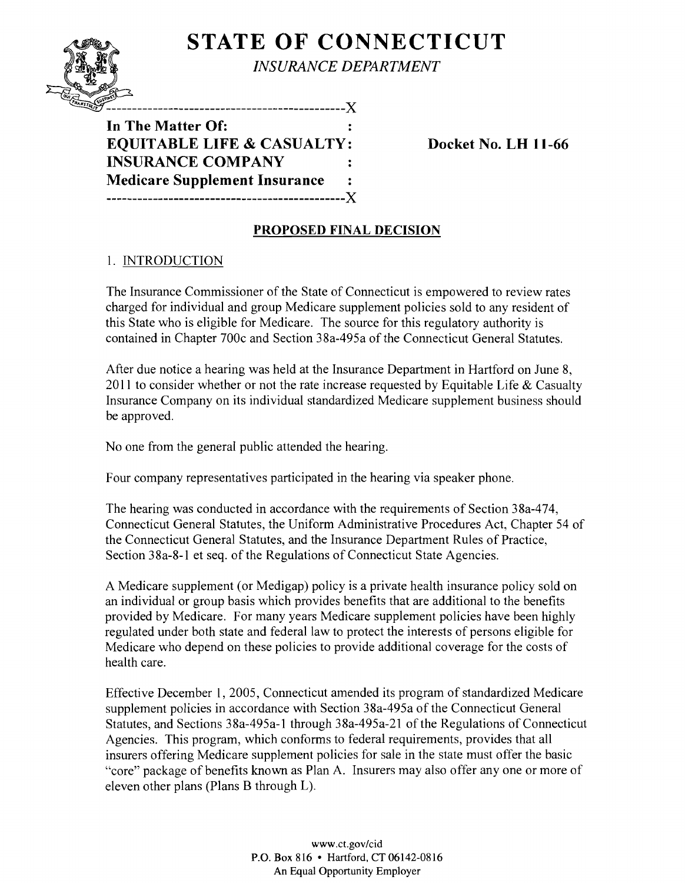

**STATE OF CONNECTICUT** *INSURANCE DEPARTMENT* 

In The Matter Of:  $\ddot{\cdot}$ **EQUITABLE LIFE & CASUALTY: INSURANCE COMPANY Medicare Supplement Insurance** ------------------------------------X

-------------------------X

**Docket No. LH 11-66** 

# **PROPOSED FINAL DECISION**

## 1. INTRODUCTION

The Insurance Commissioner of the State of Connecticut is empowered to review rates charged for individual and group Medicare supplement policies sold to any resident of this State who is eligible for Medicare. The source for this regulatory authority is contained in Chapter 700c and Section 38a-495a of the Connecticut General Statutes.

After due notice a hearing was held at the Insurance Department in Hartford on June 8, 2011 to consider whether or not the rate increase requested by Equitable Life  $&$  Casualty Insurance Company on its individual standardized Medicare supplement business should be approved.

No one from the general public attended the hearing.

Four company representatives participated in the hearing via speaker phone.

The hearing was conducted in accordance with the requirements of Section 38a-474, Connecticut General Statutes, the Uniform Administrative Procedures Act, Chapter 54 of the Connecticut General Statutes, and the Insurance Department Rules of Practice, Section 38a-8-1 et seq. of the Regulations of Connecticut State Agencies.

A Medicare supplement (or Medigap) policy is a private health insurance policy sold on an individual or group basis which provides benefits that are additional to the benefits provided by Medicare. For many years Medicare supplement policies have been highly regulated under both state and federal law to protect the interests of persons eligible for Medicare who depend on these policies to provide additional coverage for the costs of health care.

Effective December 1,2005, Connecticut amended its program of standardized Medicare supplement policies in accordance with Section 38a-495a of the Connecticut General Statutes, and Sections 38a-495a-l through 38a-495a-21 of the Regulations of Connecticut Agencies. This program, which conforms to federal requirements, provides that all insurers offering Medicare supplement policies for sale in the state must offer the basic "core" package of benefits known as Plan A. Insurers may also offer anyone or more of eleven other plans (Plans B through L).

> www.ct.gov/cid P.O. Box 816 • Hartford, CT 06142-0816 An Equal Opportunity Employer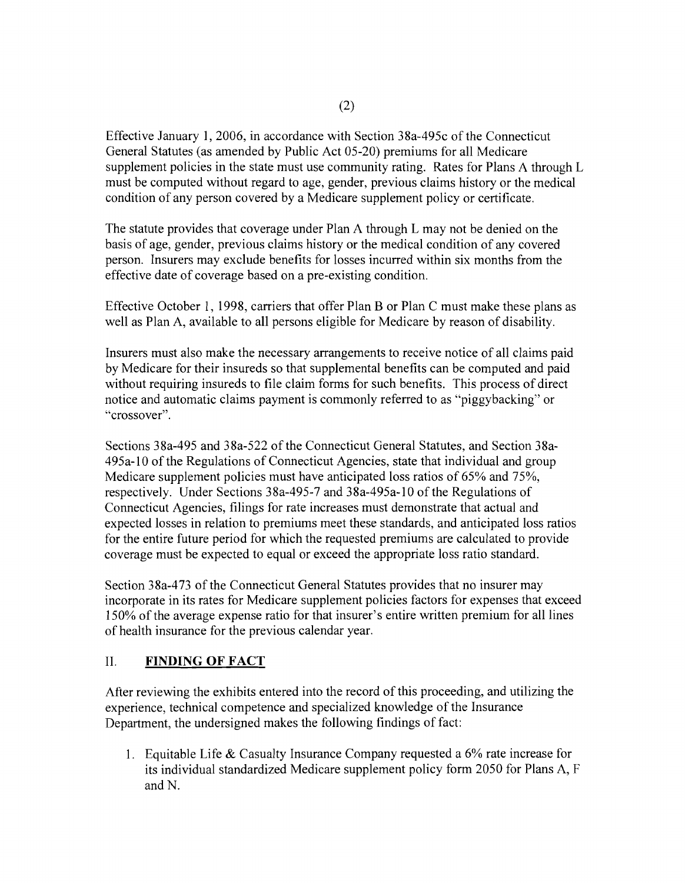Effective January 1, 2006, in accordance with Section 38a-495c of the Connecticut General Statutes (as amended by Public Act 05-20) premiums for all Medicare supplement policies in the state must use community rating. Rates for Plans A through L must be computed without regard to age, gender, previous claims history or the medical condition of any person covered by a Medicare supplement policy or certificate.

The statute provides that coverage under Plan A through L may not be denied on the basis of age, gender, previous claims history or the medical condition of any covered person. Insurers may exclude benefits for losses incurred within six months from the effective date of coverage based on a pre-existing condition.

Effective October 1, 1998, carriers that offer Plan B or Plan C must make these plans as well as Plan A, available to all persons eligible for Medicare by reason of disability.

Insurers must also make the necessary arrangements to receive notice of all claims paid by Medicare for their insureds so that supplemental benefits can be computed and paid without requiring insureds to file claim forms for such benefits. This process of direct notice and automatic claims payment is commonly referred to as "piggybacking" or "crossover".

Sections 38a-495 and 38a-522 of the Connecticut General Statutes, and Section 38a-495a-10 of the Regulations of Connecticut Agencies, state that individual and group Medicare supplement policies must have anticipated loss ratios of 65% and 75%, respectively. Under Sections 38a-495-7 and 38a-495a-1 0 of the Regulations of Connecticut Agencies, filings for rate increases must demonstrate that actual and expected losses in relation to premiums meet these standards, and anticipated loss ratios for the entire future period for which the requested premiums are calculated to provide coverage must be expected to equal or exceed the appropriate loss ratio standard.

Section 38a-473 of the Connecticut General Statutes provides that no insurer may incorporate in its rates for Medicare supplement policies factors for expenses that exceed 150% of the average expense ratio for that insurer's entire written premium for all lines of health insurance for the previous calendar year.

## II. **FINDING OF FACT**

After reviewing the exhibits entered into the record of this proceeding, and utilizing the experience, technical competence and specialized knowledge of the Insurance Department, the undersigned makes the following findings of fact:

1. Equitable Life & Casualty Insurance Company requested a  $6\%$  rate increase for its individual standardized Medicare supplement policy form 2050 for Plans A, F and N.